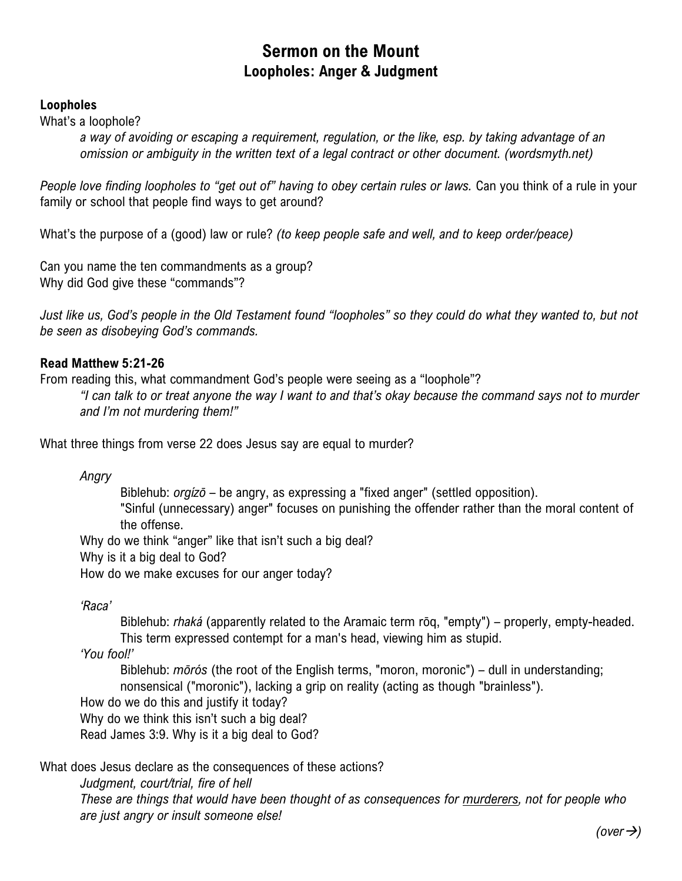# **Sermon on the Mount Loopholes: Anger & Judgment**

### **Loopholes**

What's a loophole?

*a way of avoiding or escaping a requirement, regulation, or the like, esp. by taking advantage of an omission or ambiguity in the written text of a legal contract or other document. (wordsmyth.net)*

*People love finding loopholes to "get out of" having to obey certain rules or laws.* Can you think of a rule in your family or school that people find ways to get around?

What's the purpose of a (good) law or rule? *(to keep people safe and well, and to keep order/peace)*

Can you name the ten commandments as a group? Why did God give these "commands"?

Just like us, God's people in the Old Testament found "loopholes" so they could do what they wanted to, but not *be seen as disobeying God's commands.*

## **Read Matthew 5:21-26**

From reading this, what commandment God's people were seeing as a "loophole"?

*"I can talk to or treat anyone the way I want to and that's okay because the command says not to murder and I'm not murdering them!"*

What three things from verse 22 does Jesus say are equal to murder?

*Angry*

Biblehub: *orgízō* – be angry, as expressing a "fixed anger" (settled opposition). "Sinful (unnecessary) anger" focuses on punishing the offender rather than the moral content of the offense.

Why do we think "anger" like that isn't such a big deal?

Why is it a big deal to God?

How do we make excuses for our anger today?

*'Raca'*

Biblehub: *rhaká* (apparently related to the Aramaic term rōq, "empty") – properly, empty-headed. This term expressed contempt for a man's head, viewing him as stupid.

*'You fool!'*

Biblehub: *mōrós* (the root of the English terms, "moron, moronic") – dull in understanding; nonsensical ("moronic"), lacking a grip on reality (acting as though "brainless").

How do we do this and justify it today?

Why do we think this isn't such a big deal?

Read James 3:9. Why is it a big deal to God?

What does Jesus declare as the consequences of these actions?

*Judgment, court/trial, fire of hell These are things that would have been thought of as consequences for murderers, not for people who are just angry or insult someone else!*